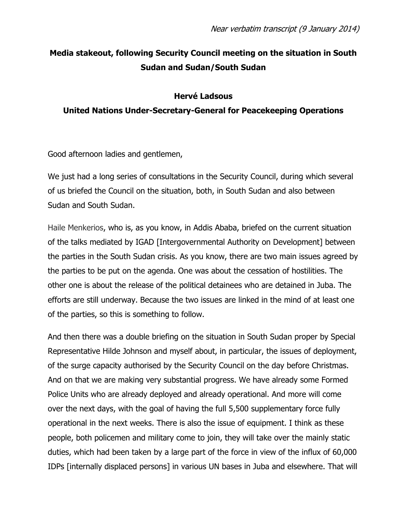## **Media stakeout, following Security Council meeting on the situation in South Sudan and Sudan/South Sudan**

### **Hervé Ladsous**

### **United Nations Under-Secretary-General for Peacekeeping Operations**

Good afternoon ladies and gentlemen,

We just had a long series of consultations in the Security Council, during which several of us briefed the Council on the situation, both, in South Sudan and also between Sudan and South Sudan.

Haile Menkerios, who is, as you know, in Addis Ababa, briefed on the current situation of the talks mediated by IGAD [Intergovernmental Authority on Development] between the parties in the South Sudan crisis. As you know, there are two main issues agreed by the parties to be put on the agenda. One was about the cessation of hostilities. The other one is about the release of the political detainees who are detained in Juba. The efforts are still underway. Because the two issues are linked in the mind of at least one of the parties, so this is something to follow.

And then there was a double briefing on the situation in South Sudan proper by Special Representative Hilde Johnson and myself about, in particular, the issues of deployment, of the surge capacity authorised by the Security Council on the day before Christmas. And on that we are making very substantial progress. We have already some Formed Police Units who are already deployed and already operational. And more will come over the next days, with the goal of having the full 5,500 supplementary force fully operational in the next weeks. There is also the issue of equipment. I think as these people, both policemen and military come to join, they will take over the mainly static duties, which had been taken by a large part of the force in view of the influx of 60,000 IDPs [internally displaced persons] in various UN bases in Juba and elsewhere. That will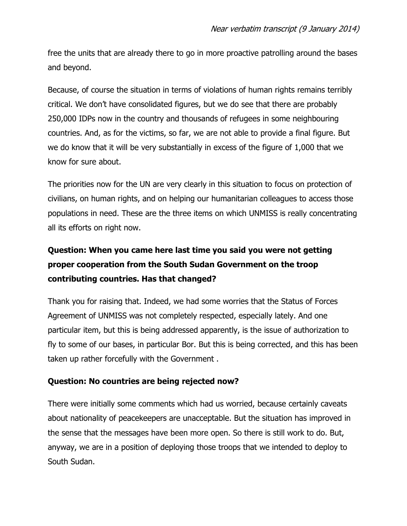free the units that are already there to go in more proactive patrolling around the bases and beyond.

Because, of course the situation in terms of violations of human rights remains terribly critical. We don't have consolidated figures, but we do see that there are probably 250,000 IDPs now in the country and thousands of refugees in some neighbouring countries. And, as for the victims, so far, we are not able to provide a final figure. But we do know that it will be very substantially in excess of the figure of 1,000 that we know for sure about.

The priorities now for the UN are very clearly in this situation to focus on protection of civilians, on human rights, and on helping our humanitarian colleagues to access those populations in need. These are the three items on which UNMISS is really concentrating all its efforts on right now.

# **Question: When you came here last time you said you were not getting proper cooperation from the South Sudan Government on the troop contributing countries. Has that changed?**

Thank you for raising that. Indeed, we had some worries that the Status of Forces Agreement of UNMISS was not completely respected, especially lately. And one particular item, but this is being addressed apparently, is the issue of authorization to fly to some of our bases, in particular Bor. But this is being corrected, and this has been taken up rather forcefully with the Government .

### **Question: No countries are being rejected now?**

There were initially some comments which had us worried, because certainly caveats about nationality of peacekeepers are unacceptable. But the situation has improved in the sense that the messages have been more open. So there is still work to do. But, anyway, we are in a position of deploying those troops that we intended to deploy to South Sudan.